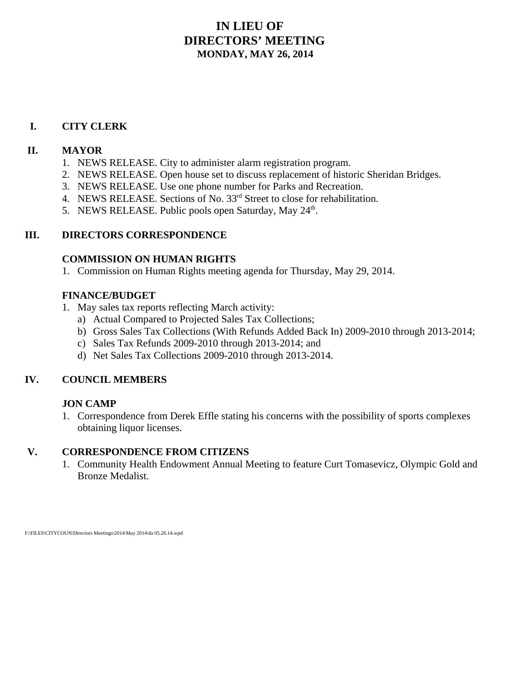### **IN LIEU OF DIRECTORS' MEETING MONDAY, MAY 26, 2014**

#### **I. CITY CLERK**

#### **II. MAYOR**

- 1. NEWS RELEASE. City to administer alarm registration program.
- 2. NEWS RELEASE. Open house set to discuss replacement of historic Sheridan Bridges.
- 3. NEWS RELEASE. Use one phone number for Parks and Recreation.
- 4. NEWS RELEASE. Sections of No. 33<sup>rd</sup> Street to close for rehabilitation.
- 5. NEWS RELEASE. Public pools open Saturday, May 24<sup>th</sup>.

#### **III. DIRECTORS CORRESPONDENCE**

#### **COMMISSION ON HUMAN RIGHTS**

1. Commission on Human Rights meeting agenda for Thursday, May 29, 2014.

#### **FINANCE/BUDGET**

- 1. May sales tax reports reflecting March activity:
	- a) Actual Compared to Projected Sales Tax Collections;
	- b) Gross Sales Tax Collections (With Refunds Added Back In) 2009-2010 through 2013-2014;
	- c) Sales Tax Refunds 2009-2010 through 2013-2014; and
	- d) Net Sales Tax Collections 2009-2010 through 2013-2014.

#### **IV. COUNCIL MEMBERS**

#### **JON CAMP**

1. Correspondence from Derek Effle stating his concerns with the possibility of sports complexes obtaining liquor licenses.

#### **V. CORRESPONDENCE FROM CITIZENS**

1. Community Health Endowment Annual Meeting to feature Curt Tomasevicz, Olympic Gold and Bronze Medalist.

F:\FILES\CITYCOUN\Directors Meetings\2014\May 2014\da 05.26.14.wpd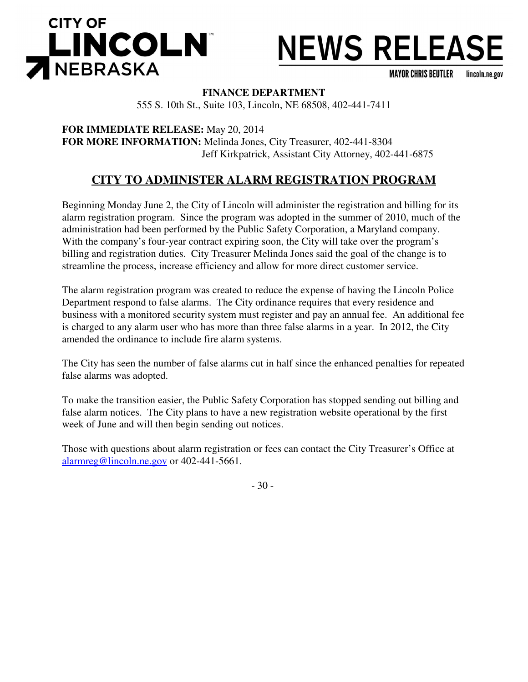

**MAYOR CHRIS BEUTLER** lincoln.ne.gov

#### **FINANCE DEPARTMENT**

555 S. 10th St., Suite 103, Lincoln, NE 68508, 402-441-7411

**FOR IMMEDIATE RELEASE:** May 20, 2014 **FOR MORE INFORMATION:** Melinda Jones, City Treasurer, 402-441-8304 Jeff Kirkpatrick, Assistant City Attorney, 402-441-6875

## **CITY TO ADMINISTER ALARM REGISTRATION PROGRAM**

Beginning Monday June 2, the City of Lincoln will administer the registration and billing for its alarm registration program. Since the program was adopted in the summer of 2010, much of the administration had been performed by the Public Safety Corporation, a Maryland company. With the company's four-year contract expiring soon, the City will take over the program's billing and registration duties. City Treasurer Melinda Jones said the goal of the change is to streamline the process, increase efficiency and allow for more direct customer service.

The alarm registration program was created to reduce the expense of having the Lincoln Police Department respond to false alarms. The City ordinance requires that every residence and business with a monitored security system must register and pay an annual fee. An additional fee is charged to any alarm user who has more than three false alarms in a year. In 2012, the City amended the ordinance to include fire alarm systems.

The City has seen the number of false alarms cut in half since the enhanced penalties for repeated false alarms was adopted.

To make the transition easier, the Public Safety Corporation has stopped sending out billing and false alarm notices. The City plans to have a new registration website operational by the first week of June and will then begin sending out notices.

Those with questions about alarm registration or fees can contact the City Treasurer's Office at alarmreg@lincoln.ne.gov or 402-441-5661.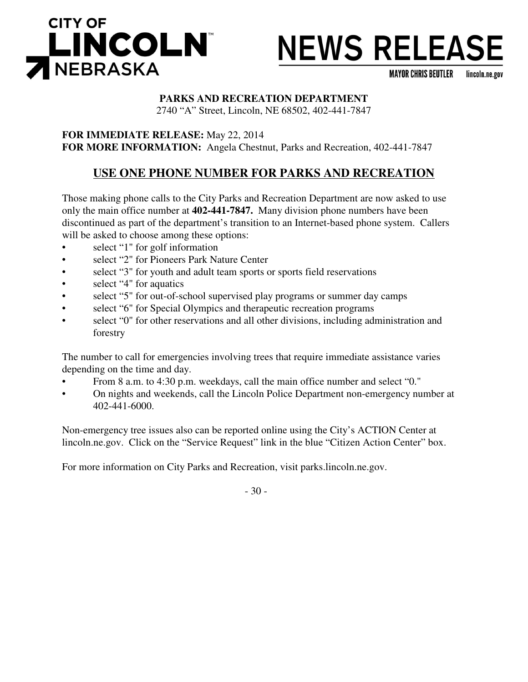

**MAYOR CHRIS BEUTLER** lincoln.ne.gov

#### **PARKS AND RECREATION DEPARTMENT**

2740 "A" Street, Lincoln, NE 68502, 402-441-7847

**FOR IMMEDIATE RELEASE:** May 22, 2014 **FOR MORE INFORMATION:** Angela Chestnut, Parks and Recreation, 402-441-7847

### **USE ONE PHONE NUMBER FOR PARKS AND RECREATION**

Those making phone calls to the City Parks and Recreation Department are now asked to use only the main office number at **402-441-7847.** Many division phone numbers have been discontinued as part of the department's transition to an Internet-based phone system. Callers will be asked to choose among these options:

- select "1" for golf information
- select "2" for Pioneers Park Nature Center
- select "3" for youth and adult team sports or sports field reservations
- select "4" for aquatics
- select "5" for out-of-school supervised play programs or summer day camps
- select "6" for Special Olympics and therapeutic recreation programs
- select "0" for other reservations and all other divisions, including administration and forestry

The number to call for emergencies involving trees that require immediate assistance varies depending on the time and day.

- From 8 a.m. to 4:30 p.m. weekdays, call the main office number and select "0."
- On nights and weekends, call the Lincoln Police Department non-emergency number at 402-441-6000.

Non-emergency tree issues also can be reported online using the City's ACTION Center at lincoln.ne.gov. Click on the "Service Request" link in the blue "Citizen Action Center" box.

For more information on City Parks and Recreation, visit parks.lincoln.ne.gov.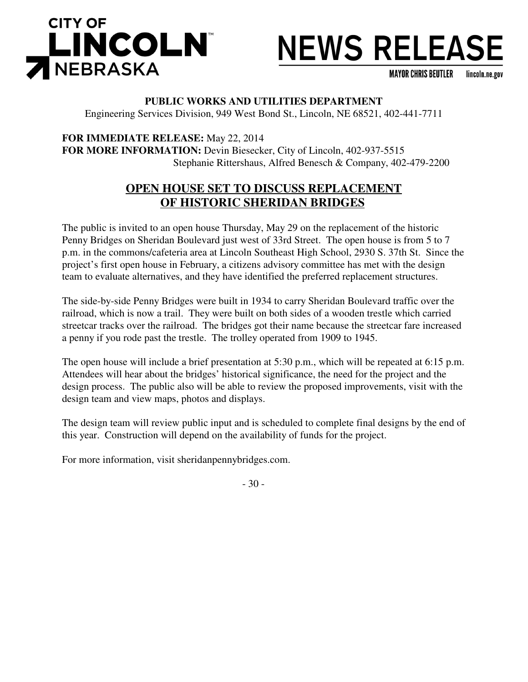

**MAYOR CHRIS BEUTLER** lincoln.ne.gov

#### **PUBLIC WORKS AND UTILITIES DEPARTMENT**

Engineering Services Division, 949 West Bond St., Lincoln, NE 68521, 402-441-7711

**FOR IMMEDIATE RELEASE:** May 22, 2014 **FOR MORE INFORMATION:** Devin Biesecker, City of Lincoln, 402-937-5515 Stephanie Rittershaus, Alfred Benesch & Company, 402-479-2200

### **OPEN HOUSE SET TO DISCUSS REPLACEMENT OF HISTORIC SHERIDAN BRIDGES**

The public is invited to an open house Thursday, May 29 on the replacement of the historic Penny Bridges on Sheridan Boulevard just west of 33rd Street. The open house is from 5 to 7 p.m. in the commons/cafeteria area at Lincoln Southeast High School, 2930 S. 37th St. Since the project's first open house in February, a citizens advisory committee has met with the design team to evaluate alternatives, and they have identified the preferred replacement structures.

The side-by-side Penny Bridges were built in 1934 to carry Sheridan Boulevard traffic over the railroad, which is now a trail. They were built on both sides of a wooden trestle which carried streetcar tracks over the railroad. The bridges got their name because the streetcar fare increased a penny if you rode past the trestle. The trolley operated from 1909 to 1945.

The open house will include a brief presentation at 5:30 p.m., which will be repeated at 6:15 p.m. Attendees will hear about the bridges' historical significance, the need for the project and the design process. The public also will be able to review the proposed improvements, visit with the design team and view maps, photos and displays.

The design team will review public input and is scheduled to complete final designs by the end of this year. Construction will depend on the availability of funds for the project.

For more information, visit sheridanpennybridges.com.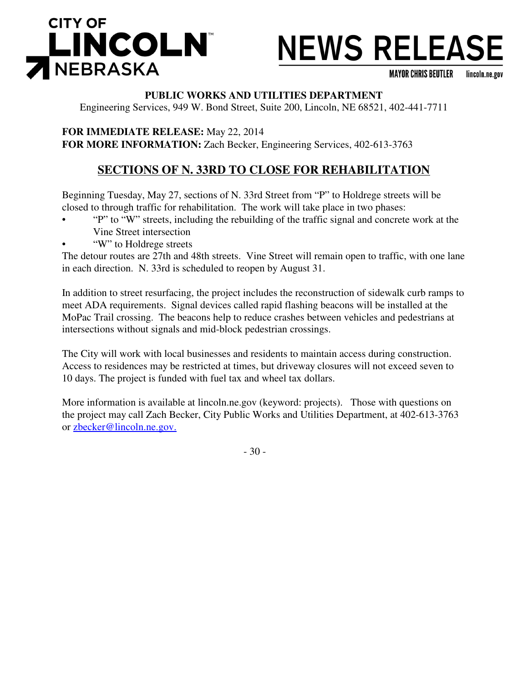

**MAYOR CHRIS BEUTLER** lincoln.ne.gov

#### **PUBLIC WORKS AND UTILITIES DEPARTMENT**

Engineering Services, 949 W. Bond Street, Suite 200, Lincoln, NE 68521, 402-441-7711

**FOR IMMEDIATE RELEASE:** May 22, 2014 **FOR MORE INFORMATION:** Zach Becker, Engineering Services, 402-613-3763

# **SECTIONS OF N. 33RD TO CLOSE FOR REHABILITATION**

Beginning Tuesday, May 27, sections of N. 33rd Street from "P" to Holdrege streets will be closed to through traffic for rehabilitation. The work will take place in two phases:

- "P" to "W" streets, including the rebuilding of the traffic signal and concrete work at the Vine Street intersection
- "W" to Holdrege streets

The detour routes are 27th and 48th streets. Vine Street will remain open to traffic, with one lane in each direction. N. 33rd is scheduled to reopen by August 31.

In addition to street resurfacing, the project includes the reconstruction of sidewalk curb ramps to meet ADA requirements. Signal devices called rapid flashing beacons will be installed at the MoPac Trail crossing. The beacons help to reduce crashes between vehicles and pedestrians at intersections without signals and mid-block pedestrian crossings.

The City will work with local businesses and residents to maintain access during construction. Access to residences may be restricted at times, but driveway closures will not exceed seven to 10 days. The project is funded with fuel tax and wheel tax dollars.

More information is available at lincoln.ne.gov (keyword: projects). Those with questions on the project may call Zach Becker, City Public Works and Utilities Department, at 402-613-3763 or zbecker@lincoln.ne.gov.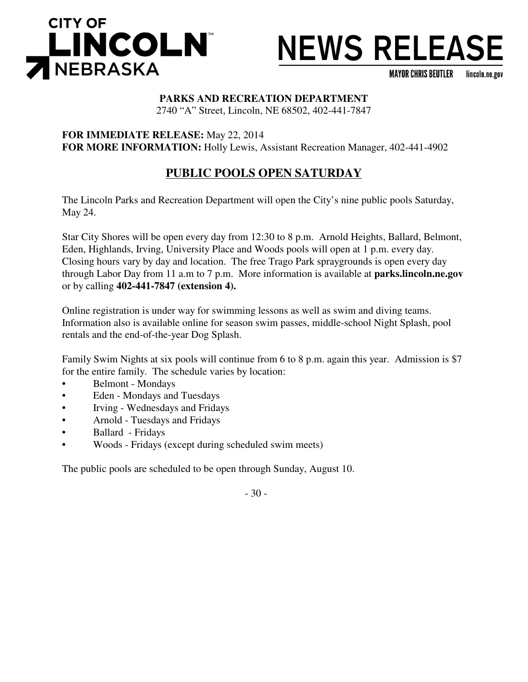

**MAYOR CHRIS BEUTLER** lincoln.ne.gov

#### **PARKS AND RECREATION DEPARTMENT**

2740 "A" Street, Lincoln, NE 68502, 402-441-7847

**FOR IMMEDIATE RELEASE:** May 22, 2014 **FOR MORE INFORMATION:** Holly Lewis, Assistant Recreation Manager, 402-441-4902

### **PUBLIC POOLS OPEN SATURDAY**

The Lincoln Parks and Recreation Department will open the City's nine public pools Saturday, May 24.

Star City Shores will be open every day from 12:30 to 8 p.m. Arnold Heights, Ballard, Belmont, Eden, Highlands, Irving, University Place and Woods pools will open at 1 p.m. every day. Closing hours vary by day and location. The free Trago Park spraygrounds is open every day through Labor Day from 11 a.m to 7 p.m. More information is available at **parks.lincoln.ne.gov** or by calling **402-441-7847 (extension 4).**

Online registration is under way for swimming lessons as well as swim and diving teams. Information also is available online for season swim passes, middle-school Night Splash, pool rentals and the end-of-the-year Dog Splash.

Family Swim Nights at six pools will continue from 6 to 8 p.m. again this year. Admission is \$7 for the entire family. The schedule varies by location:

- Belmont Mondays
- Eden Mondays and Tuesdays
- Irving Wednesdays and Fridays
- Arnold Tuesdays and Fridays
- Ballard Fridays
- Woods Fridays (except during scheduled swim meets)

The public pools are scheduled to be open through Sunday, August 10.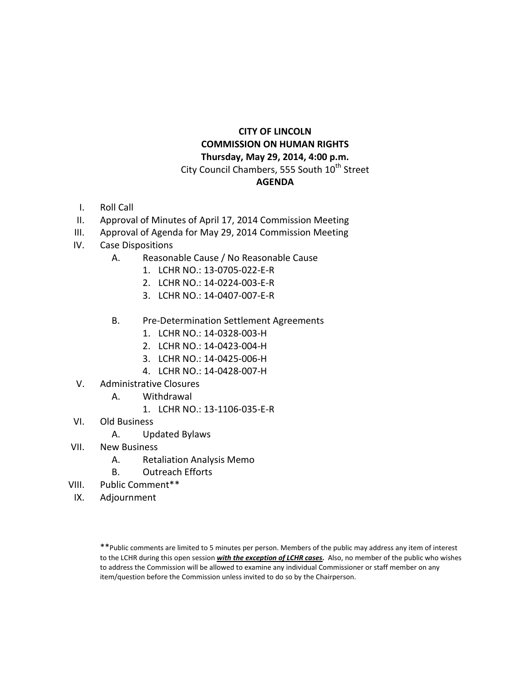#### **CITY OF LINCOLN COMMISSION ON HUMAN RIGHTS Thursday, May 29, 2014, 4:00 p.m.** City Council Chambers, 555 South 10<sup>th</sup> Street **AGENDA**

- I. Roll Call
- II. Approval of Minutes of April 17, 2014 Commission Meeting
- III. Approval of Agenda for May 29, 2014 Commission Meeting
- IV. Case Dispositions
	- A. Reasonable Cause / No Reasonable Cause
		- 1. LCHR NO.: 13-0705-022-E-R
		- 2. LCHR NO.: 14-0224-003-E-R
		- 3. LCHR NO.: 14-0407-007-E-R
	- B. Pre-Determination Settlement Agreements
		- 1. LCHR NO.: 14-0328-003-H
		- 2. LCHR NO.: 14-0423-004-H
		- 3. LCHR NO.: 14-0425-006-H
		- 4. LCHR NO.: 14-0428-007-H
- V. Administrative Closures
	- A. Withdrawal
		- 1. LCHR NO.: 13-1106-035-E-R
- VI. Old Business
	- A. Updated Bylaws
- VII. New Business
	- A. Retaliation Analysis Memo
	- B. Outreach Efforts
- VIII. Public Comment\*\*
- IX. Adjournment

<sup>\*\*</sup>Public comments are limited to 5 minutes per person. Members of the public may address any item of interest to the LCHR during this open session *with the exception of LCHR cases.* Also, no member of the public who wishes to address the Commission will be allowed to examine any individual Commissioner or staff member on any item/question before the Commission unless invited to do so by the Chairperson.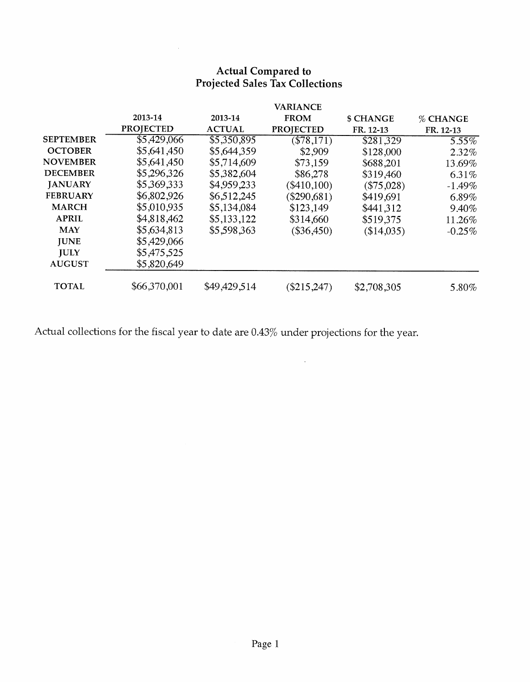# **Actual Compared to<br>Projected Sales Tax Collections**

|                  |                  |               | <b>VARIANCE</b>  |             |           |
|------------------|------------------|---------------|------------------|-------------|-----------|
|                  | 2013-14          | 2013-14       | <b>FROM</b>      | \$ CHANGE   | % CHANGE  |
|                  | <b>PROJECTED</b> | <b>ACTUAL</b> | <b>PROJECTED</b> | FR. 12-13   | FR. 12-13 |
| <b>SEPTEMBER</b> | \$5,429,066      | \$5,350,895   | ( \$78, 171)     | \$281,329   | $5.55\%$  |
| <b>OCTOBER</b>   | \$5,641,450      | \$5,644,359   | \$2,909          | \$128,000   | 2.32%     |
| <b>NOVEMBER</b>  | \$5,641,450      | \$5,714,609   | \$73,159         | \$688,201   | 13.69%    |
| <b>DECEMBER</b>  | \$5,296,326      | \$5,382,604   | \$86,278         | \$319,460   | 6.31%     |
| <b>JANUARY</b>   | \$5,369,333      | \$4,959,233   | $($ \$410,100)   | ( \$75,028) | $-1.49%$  |
| <b>FEBRUARY</b>  | \$6,802,926      | \$6,512,245   | $(\$290,681)$    | \$419,691   | 6.89%     |
| <b>MARCH</b>     | \$5,010,935      | \$5,134,084   | \$123,149        | \$441,312   | 9.40%     |
| <b>APRIL</b>     | \$4,818,462      | \$5,133,122   | \$314,660        | \$519,375   | 11.26%    |
| <b>MAY</b>       | \$5,634,813      | \$5,598,363   | $(\$36,450)$     | (\$14,035)  | $-0.25\%$ |
| <b>JUNE</b>      | \$5,429,066      |               |                  |             |           |
| <b>JULY</b>      | \$5,475,525      |               |                  |             |           |
| <b>AUGUST</b>    | \$5,820,649      |               |                  |             |           |
| <b>TOTAL</b>     | \$66,370,001     | \$49,429,514  | $(\$215,247)$    | \$2,708,305 | 5.80%     |

 $\sim$ 

Actual collections for the fiscal year to date are 0.43% under projections for the year.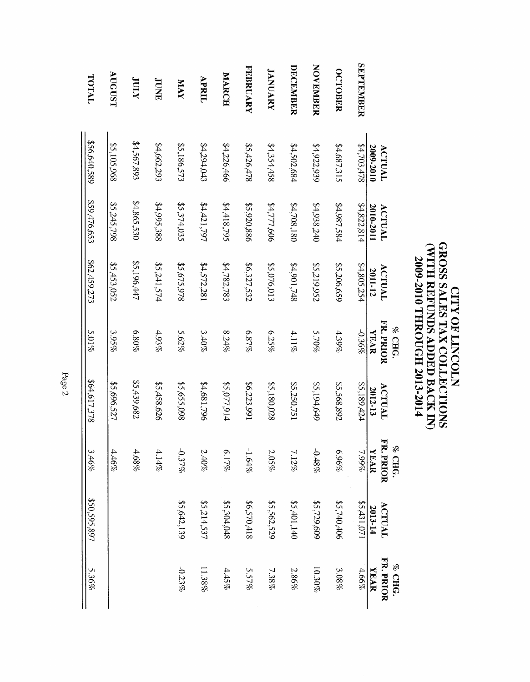|                 |                     |                     |                   | % CHG.                   |                   | $_{\odot}$ CHG.          |                   | % CHG.                   |
|-----------------|---------------------|---------------------|-------------------|--------------------------|-------------------|--------------------------|-------------------|--------------------------|
|                 | 2009-2010<br>ACTUAL | 2010-2011<br>ACTUAL | ACTUAL<br>2011-12 | FR. PRIOR<br><b>YEAR</b> | ACTUAL<br>2012-13 | FR. PRIOR<br><b>YEAR</b> | ACTUAL<br>2013-14 | FR. PRIOR<br><b>XRAR</b> |
| SEPTEMBER       | 87703,478           | \$4,822,814         | \$4,805,254       | -0.36%                   | \$5,189,424       | 7.99%                    | 55,431,071        | 4.66%                    |
| <b>OCTOBER</b>  | \$4,687,315         | \$4,987,584         | \$5,206,659       | $4.39\%$                 | \$5,568,892       | %96'9                    | \$5,740,406       | 3.08%                    |
| <b>NOVEMBER</b> | 84,922,939          | \$4,938,240         | \$5,219,952       | 5.70%                    | \$5,194,649       | $-0.48\%$                | \$5,729,609       | 10.30%                   |
| DECEMBER        | \$4,502,684         | \$4,708,180         | \$4,901,748       | $4.11\%$                 | \$5,250,751       | 7.12%                    | \$5,401,140       | 2.86%                    |
| <b>JANUARY</b>  | \$4,354,458         | \$4,777,606         | \$5,076,013       | $6.25\%$                 | \$5,180,028       | $2.05\%$                 | \$5,562,529       | 7.38%                    |
| <b>FEBRUARY</b> | \$5,426,478         | \$5,920,886         | \$6,327,532       | 6.87%                    | \$6,223,991       | $-1.64\%$                | 814,072,92        | 5.57%                    |
| <b>MARCH</b>    | \$4,226,466         | \$4,418,795         | \$4,782,783       | $8.24\%$                 | \$5,077,914       | $6.17\%$                 | \$5,304,048       | 4.45%                    |
| APRIL           | \$4,294,043         | 54,421,797          | \$4,572,281       | 3.40%                    | \$4,681,796       | $2.40\%$                 | \$5,214,537       | 11.38%                   |
| <b>XVIV</b>     | \$5,186,573         | \$5,374,035         | \$5,675,978       | 5.62%                    | \$5,655,098       | $-0.37%$                 | \$5,642,139       | $-0.22\%$                |
| <b>JUNE</b>     | \$4,662,293         | 882,595,388         | 55,241,574        | 4.93%                    | \$5,458,626       | 4.14%                    |                   |                          |
| XINI            | \$4,567,893         | \$4,865,530         | \$5,196,447       | $8.80\%$                 | \$5,439,682       | $4.68\%$                 |                   |                          |
| AUGUST          | \$5,105,968         | \$5,245,798         | \$5,453,052       | 3.95%                    | \$5,696,527       | $4.46\%$                 |                   |                          |
| TOTAL           | \$56,640,589        | \$59,476,653        | \$62,459,273      | $5.01\%$                 | 864,617,378       | 3.46%                    | \$50,595,897      | 5.36%                    |

**CITY OF LINCOLN<br>CWITH REUNDS ADDED BACK IN<br>CWITH REUNDS ADDED BACK IN<br>2009-2010 THROUGH 2013-2014** 

Page 2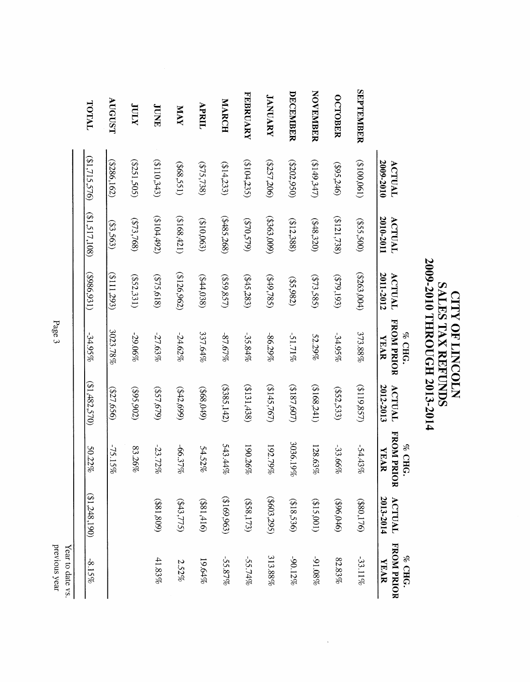|                  | 2009-2010<br>ACTUAL | 2010-2011<br>ACTUAL | 2011-2012<br>ACTUAL | <b>FROM PRIOR</b><br>% CHG<br><b>YEAR</b> | 2012-2013<br>ACTUAL | FROM PRI<br>% CHG<br><b>XEAR</b><br>g | 2013-2014<br>ACTUAL | FROM PRIOR<br>% CHG<br><b>YEAR</b> |
|------------------|---------------------|---------------------|---------------------|-------------------------------------------|---------------------|---------------------------------------|---------------------|------------------------------------|
| <b>SEPTEMBER</b> | (190,0018)          | (005,500)           | (5263,004)          | 373.88%                                   | (5119,857)          | -54.43%                               | (\$80,176)          | -33.11%                            |
| <b>OCTOBER</b>   | (962,246)           | (8121,738)          | (579, 193)          | $-34.95\%$                                | (552, 533)          | -33.66%                               | (396,046)           | $82.83\%$                          |
| <b>NOVEMBER</b>  | (2142, 247)         | (848,320)           | (573,585)           | 52.29%                                    | (3168,241)          | 128.63%                               | (515,001)           | %80'16-                            |
| DECEMBER         | (5202, 950)         | (212, 388)          | (55,982)            | $-51.71\%$                                | (2187,607)          | 3036.19%                              | (818,536)           | -90.12%                            |
| <b>JANUARY</b>   | (2257,206)          | (600; 6963)         | (449,785)           | $-86.29\%$                                | (2145,767)          | 192.79%                               | (5603, 295)         | 313.88%                            |
| <b>FEBRUARY</b>  | (2104,235)          | (570,579)           | (245,283)           | $-35.84\%$                                | (5131, 438)         | 190.26%                               | (558,173)           | -55.74%                            |
| MARCH            | (214,233)           | (8485,268)          | (559,857)           | $-87.67\%$                                | (5385, 142)         | $543.44\%$                            | (5169,963)          | -55.87%                            |
| APRIL            | \$75,738\$          | (510,063)           | ( \$44,038)         | 337.64%                                   | (6t0'895)           | $54.52\%$                             | (911, 188)          | 19.64%                             |
| <b>XVM</b>       | (568, 551)          | (108, 421)          | (5126,962)          | $-24.62\%$                                | (542,699)           | -66.37%                               | ( \$43,775)         | 2.52%                              |
| <b>JUNE</b>      | (5110,343)          | (204,492)           | (575, 618)          | $-27.63\%$                                | (623'679)           | $-23.72\%$                            | (981,809)           | 41.83%                             |
| XIIII            | (5251, 505)         | (573,768)           | (552, 331)          | -29.06%                                   | (205,902)           | 83.26%                                |                     |                                    |
| AUGUST           | (5286, 162)         | (53,563)            | (5111293)           | 3023.78%                                  | (277, 656)          | -75.15%                               |                     |                                    |
| TOTAL            | ( \$1,715,576)      | (21, 517, 108)      | (5986, 931)         | $-34.95\%$                                | (31,482,570)        | 50.22%                                | (31,248,190)        | $-8.15%$                           |

 $\ddot{\phantom{a}}$ 

**SALES AND MANUS SALES IN STATE OF THE SALES TAX REFUNDS<br>SALES TAX REFUNDS<br>2009-2010 THROUGH 2013-2014** 

Page 3

previous year Year to date vs.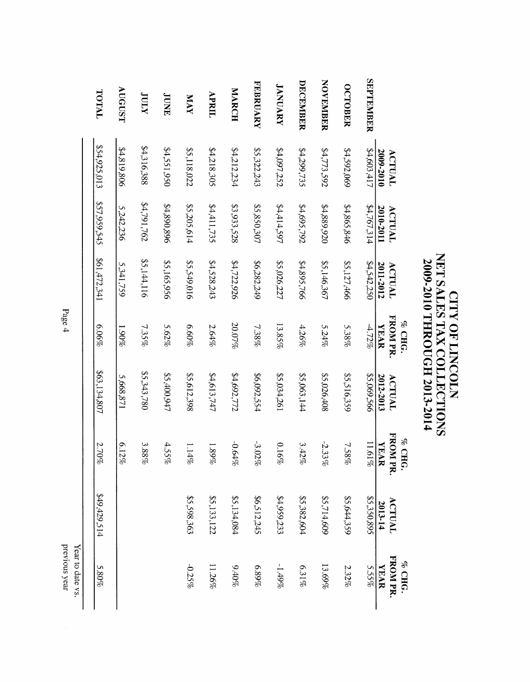|                  |                     |                     |                     | % CHG.                        |                     | % CHG.                  |                   | % CHG.                  |
|------------------|---------------------|---------------------|---------------------|-------------------------------|---------------------|-------------------------|-------------------|-------------------------|
|                  | 2009-2010<br>ACTUAL | 2010-2011<br>ACTUAL | 2011-2012<br>ACTUAL | <b>FROM PR</b><br><b>XEAR</b> | 2012-2013<br>ACTUAL | FROM PR.<br><b>YEAR</b> | ACTUAL<br>2013-14 | FROM PR.<br><b>XEAR</b> |
| <b>SEPTEMBER</b> | \$4,603,417         | \$4,767,314         | \$4,542,250         | $4.72\%$                      | 995'690'58          | 11.61%                  | \$5,350,895       | 5.55%                   |
| <b>OCTOBER</b>   | \$4,592,069         | \$4,865,846         | \$5,127,466         | 5.38%                         | \$5,516,359         | 7.58%                   | \$5,644,359       | 2.32%                   |
| <b>NOVEMBER</b>  | \$4,773,592         | \$4,889,920         | \$5,146,367         | $5.24\%$                      | \$5,026,408         | $-2.33\%$               | \$5,714,609       | 13.69%                  |
| DECEMBER         | \$4,299,735         | \$4,695,792         | \$4,895,766         | 4.26%                         | \$5,063,144         | 3.42%                   | \$5,382,604       | 6.31%                   |
| <b>JANUARY</b>   | \$4,097,252         | 79.414,597          | \$5,026,227         | 13.85%                        | \$5,034,261         | 0.16%                   | \$4,959,233       | -1.49%                  |
| <b>FEBRUARY</b>  | \$5,322,243         | \$5,850,307         | 86,282,249          | 7.38%                         | \$6,092,554         | $-3.02\%$               | \$6,512,245       | $6.89\%$                |
| MARCH            | \$4,212,234         | \$3,933,528         | \$4,722,926         | <b>20.07%</b>                 | \$4,692,772         | -0.64%                  | \$5,134,084       | 9,40%                   |
| APRIL            | \$4,218,305         | \$4,411,735         | \$4,528,243         | 2.64%                         | \$4,613,747         | $289\%$                 | \$5,133,122       | 11.26%                  |
| <b>NAY</b>       | \$5,118,022         | \$5,205,614         | \$5,549,016         | $6.60\%$                      | \$5,612,398         | 1.14%                   | \$5,598,363       | $-0.25\%$               |
| <b>JUNE</b>      | \$4,551,950         | \$4,890,896         | \$5,165,956         | 5.62%                         | 55,400,947          | 4.55%                   |                   |                         |
| <b>XIIII</b>     | \$4,316,388         | \$4,791,762         | \$5,144,116         | 7.35%                         | \$5,343,780         | $3.88\%$                |                   |                         |
| AUGUST           | \$4,819,806         | 5,242,236           | 5,341,759           | %061                          | 5,668,871           | 6.12%                   |                   |                         |
| TOTAL            | \$54,925,013        | \$57,959,545        | 161,472,341         | 6.06%                         | \$63,134,807        | 2.70%                   | 449,429,514       | 5.80%                   |
|                  |                     |                     |                     |                               |                     |                         |                   |                         |

**CITY OF LINCOLN<br>NET SALES TAX COLLECTIONS<br>2009-2010 THROUGH 2013-2014** 

Page 4

previous year Year to date vs.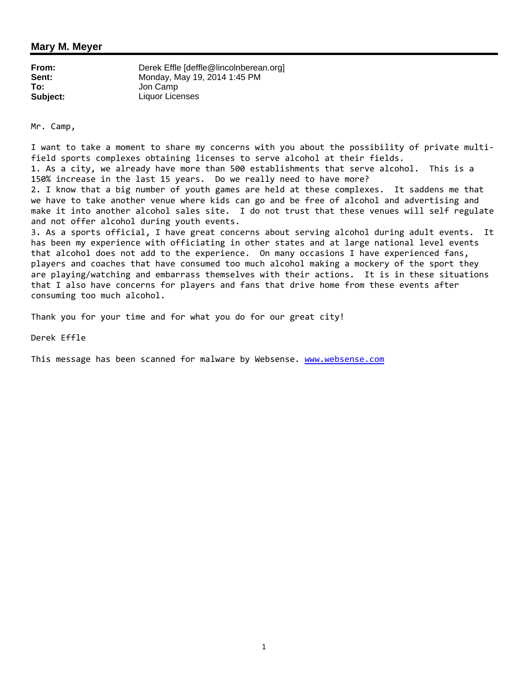#### **Mary M. Meyer**

| From:    | Derek Effle [deffle@lincolnberean.org] |
|----------|----------------------------------------|
| Sent:    | Monday, May 19, 2014 1:45 PM           |
| To:      | Jon Camp                               |
| Subject: | Liquor Licenses                        |

Mr. Camp,

I want to take a moment to share my concerns with you about the possibility of private multifield sports complexes obtaining licenses to serve alcohol at their fields. 1. As a city, we already have more than 500 establishments that serve alcohol. This is a 150% increase in the last 15 years. Do we really need to have more? 2. I know that a big number of youth games are held at these complexes. It saddens me that we have to take another venue where kids can go and be free of alcohol and advertising and make it into another alcohol sales site. I do not trust that these venues will self regulate and not offer alcohol during youth events. 3. As a sports official, I have great concerns about serving alcohol during adult events. It has been my experience with officiating in other states and at large national level events that alcohol does not add to the experience. On many occasions I have experienced fans,

players and coaches that have consumed too much alcohol making a mockery of the sport they are playing/watching and embarrass themselves with their actions. It is in these situations that I also have concerns for players and fans that drive home from these events after consuming too much alcohol.

Thank you for your time and for what you do for our great city!

Derek Effle

This message has been scanned for malware by Websense. www.websense.com